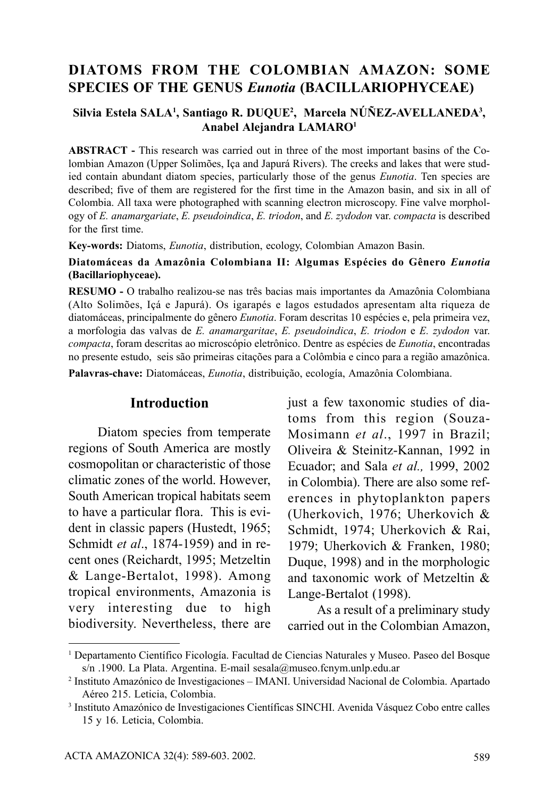# **DIATOMS FROM THE COLOMBIAN AMAZON: SOME SPECIES OF THE GENUS** *Eunotia* **(BACILLARIOPHYCEAE)**

#### **Silvia Estela SALA1 , Santiago R. DUQUE2 , Marcela NÚÑEZ-AVELLANEDA3 , Anabel Alejandra LAMARO1**

**ABSTRACT -** This research was carried out in three of the most important basins of the Colombian Amazon (Upper Solimões, Iça and Japurá Rivers). The creeks and lakes that were studied contain abundant diatom species, particularly those of the genus *Eunotia*. Ten species are described; five of them are registered for the first time in the Amazon basin, and six in all of Colombia. All taxa were photographed with scanning electron microscopy. Fine valve morphology of *E. anamargariate*, *E. pseudoindica*, *E. triodon*, and *E. zydodon* var. *compacta* is described for the first time.

**Key-words:** Diatoms, *Eunotia*, distribution, ecology, Colombian Amazon Basin.

#### **Diatomáceas da Amazônia Colombiana II: Algumas Espécies do Gênero** *Eunotia* **(Bacillariophyceae).**

**RESUMO -** O trabalho realizou-se nas três bacias mais importantes da Amazônia Colombiana (Alto Solimões, Içá e Japurá). Os igarapés e lagos estudados apresentam alta riqueza de diatomáceas, principalmente do gênero *Eunotia*. Foram descritas 10 espécies e, pela primeira vez, a morfologia das valvas de *E. anamargaritae*, *E. pseudoindica*, *E. triodon* e *E. zydodon* var. *compacta*, foram descritas ao microscópio eletrônico. Dentre as espécies de *Eunotia*, encontradas no presente estudo, seis são primeiras citações para a Colômbia e cinco para a região amazônica.

**Palavras-chave:** Diatomáceas, *Eunotia*, distribuição, ecología, Amazônia Colombiana.

#### **Introduction**

Diatom species from temperate regions of South America are mostly cosmopolitan or characteristic of those climatic zones of the world. However, South American tropical habitats seem to have a particular flora. This is evident in classic papers (Hustedt, 1965; Schmidt *et al*., 1874-1959) and in recent ones (Reichardt, 1995; Metzeltin & Lange-Bertalot, 1998). Among tropical environments, Amazonia is very interesting due to high biodiversity. Nevertheless, there are

just a few taxonomic studies of diatoms from this region (Souza-Mosimann *et al*., 1997 in Brazil; Oliveira & Steinitz-Kannan, 1992 in Ecuador; and Sala *et al.,* 1999, 2002 in Colombia). There are also some references in phytoplankton papers (Uherkovich, 1976; Uherkovich & Schmidt, 1974; Uherkovich & Rai, 1979; Uherkovich & Franken, 1980; Duque, 1998) and in the morphologic and taxonomic work of Metzeltin & Lange-Bertalot (1998).

As a result of a preliminary study carried out in the Colombian Amazon,

<sup>1</sup> Departamento Científico Ficología. Facultad de Ciencias Naturales y Museo. Paseo del Bosque s/n .1900. La Plata. Argentina. E-mail sesala@museo.fcnym.unlp.edu.ar

<sup>2</sup> Instituto Amazónico de Investigaciones – IMANI. Universidad Nacional de Colombia. Apartado Aéreo 215. Leticia, Colombia.

<sup>3</sup> Instituto Amazónico de Investigaciones Científicas SINCHI. Avenida Vásquez Cobo entre calles 15 y 16. Leticia, Colombia.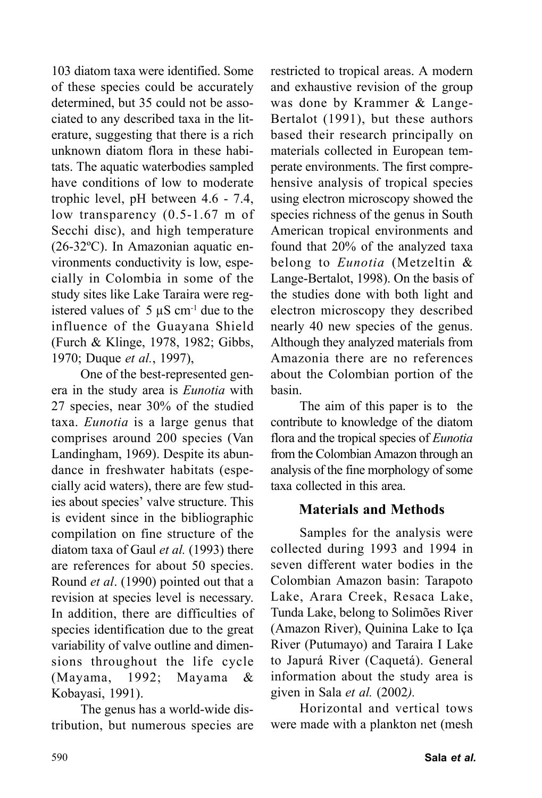103 diatom taxa were identified. Some of these species could be accurately determined, but 35 could not be associated to any described taxa in the literature, suggesting that there is a rich unknown diatom flora in these habitats. The aquatic waterbodies sampled have conditions of low to moderate trophic level, pH between 4.6 - 7.4, low transparency (0.5-1.67 m of Secchi disc), and high temperature (26-32ºC). In Amazonian aquatic environments conductivity is low, especially in Colombia in some of the study sites like Lake Taraira were registered values of  $5 \mu S$  cm<sup>-1</sup> due to the influence of the Guayana Shield (Furch & Klinge, 1978, 1982; Gibbs, 1970; Duque *et al.*, 1997),

One of the best-represented genera in the study area is *Eunotia* with 27 species, near 30% of the studied taxa. *Eunotia* is a large genus that comprises around 200 species (Van Landingham, 1969). Despite its abundance in freshwater habitats (especially acid waters), there are few studies about species' valve structure. This is evident since in the bibliographic compilation on fine structure of the diatom taxa of Gaul *et al.* (1993) there are references for about 50 species. Round *et al*. (1990) pointed out that a revision at species level is necessary. In addition, there are difficulties of species identification due to the great variability of valve outline and dimensions throughout the life cycle (Mayama, 1992; Mayama & Kobayasi, 1991).

The genus has a world-wide distribution, but numerous species are restricted to tropical areas. A modern and exhaustive revision of the group was done by Krammer & Lange-Bertalot (1991), but these authors based their research principally on materials collected in European temperate environments. The first comprehensive analysis of tropical species using electron microscopy showed the species richness of the genus in South American tropical environments and found that 20% of the analyzed taxa belong to *Eunotia* (Metzeltin & Lange-Bertalot, 1998). On the basis of the studies done with both light and electron microscopy they described nearly 40 new species of the genus. Although they analyzed materials from Amazonia there are no references about the Colombian portion of the basin.

The aim of this paper is to the contribute to knowledge of the diatom flora and the tropical species of *Eunotia* from the Colombian Amazon through an analysis of the fine morphology of some taxa collected in this area.

## **Materials and Methods**

Samples for the analysis were collected during 1993 and 1994 in seven different water bodies in the Colombian Amazon basin: Tarapoto Lake, Arara Creek, Resaca Lake, Tunda Lake, belong to Solimões River (Amazon River), Quinina Lake to Iça River (Putumayo) and Taraira I Lake to Japurá River (Caquetá). General information about the study area is given in Sala *et al.* (2002*).*

Horizontal and vertical tows were made with a plankton net (mesh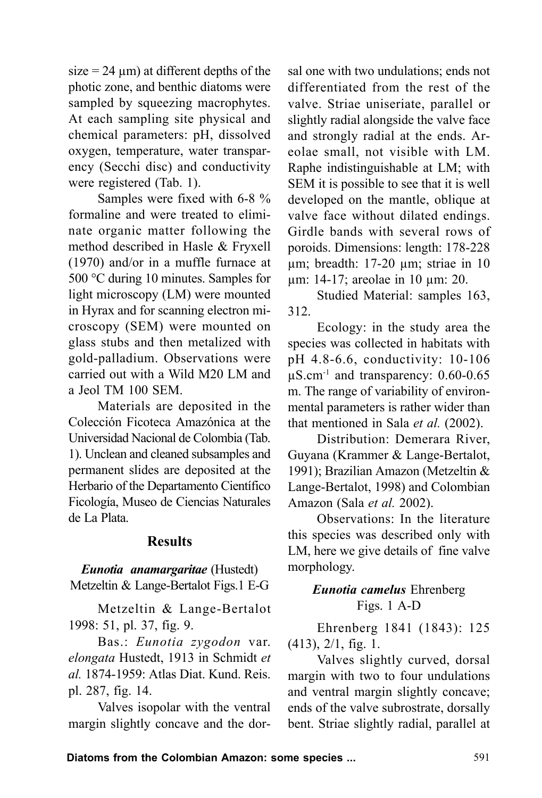$size = 24 \mu m$ ) at different depths of the photic zone, and benthic diatoms were sampled by squeezing macrophytes. At each sampling site physical and chemical parameters: pH, dissolved oxygen, temperature, water transparency (Secchi disc) and conductivity were registered (Tab. 1).

Samples were fixed with 6-8 % formaline and were treated to eliminate organic matter following the method described in Hasle & Fryxell (1970) and/or in a muffle furnace at 500 °C during 10 minutes. Samples for light microscopy (LM) were mounted in Hyrax and for scanning electron microscopy (SEM) were mounted on glass stubs and then metalized with gold-palladium. Observations were carried out with a Wild M20 LM and a Jeol TM 100 SEM.

Materials are deposited in the Colección Ficoteca Amazónica at the Universidad Nacional de Colombia (Tab. 1). Unclean and cleaned subsamples and permanent slides are deposited at the Herbario of the Departamento Científico Ficología, Museo de Ciencias Naturales de La Plata.

#### **Results**

*Eunotia anamargaritae* (Hustedt) Metzeltin & Lange-Bertalot Figs.1 E-G

Metzeltin & Lange-Bertalot 1998: 51, pl. 37, fig. 9.

Bas.: *Eunotia zygodon* var. *elongata* Hustedt, 1913 in Schmidt *et al.* 1874-1959: Atlas Diat. Kund. Reis. pl. 287, fig. 14.

Valves isopolar with the ventral margin slightly concave and the dorsal one with two undulations; ends not differentiated from the rest of the valve. Striae uniseriate, parallel or slightly radial alongside the valve face and strongly radial at the ends. Areolae small, not visible with LM. Raphe indistinguishable at LM; with SEM it is possible to see that it is well developed on the mantle, oblique at valve face without dilated endings. Girdle bands with several rows of poroids. Dimensions: length: 178-228 µm; breadth: 17-20 µm; striae in 10 µm: 14-17; areolae in 10 µm: 20.

Studied Material: samples 163, 312.

Ecology: in the study area the species was collected in habitats with pH 4.8-6.6, conductivity: 10-106  $\mu$ S.cm<sup>-1</sup> and transparency: 0.60-0.65 m. The range of variability of environmental parameters is rather wider than that mentioned in Sala *et al.* (2002).

Distribution: Demerara River, Guyana (Krammer & Lange-Bertalot, 1991); Brazilian Amazon (Metzeltin & Lange-Bertalot, 1998) and Colombian Amazon (Sala *et al.* 2002).

Observations: In the literature this species was described only with LM, here we give details of fine valve morphology.

### *Eunotia camelus* Ehrenberg Figs. 1 A-D

Ehrenberg 1841 (1843): 125 (413), 2/1, fig. 1.

Valves slightly curved, dorsal margin with two to four undulations and ventral margin slightly concave; ends of the valve subrostrate, dorsally bent. Striae slightly radial, parallel at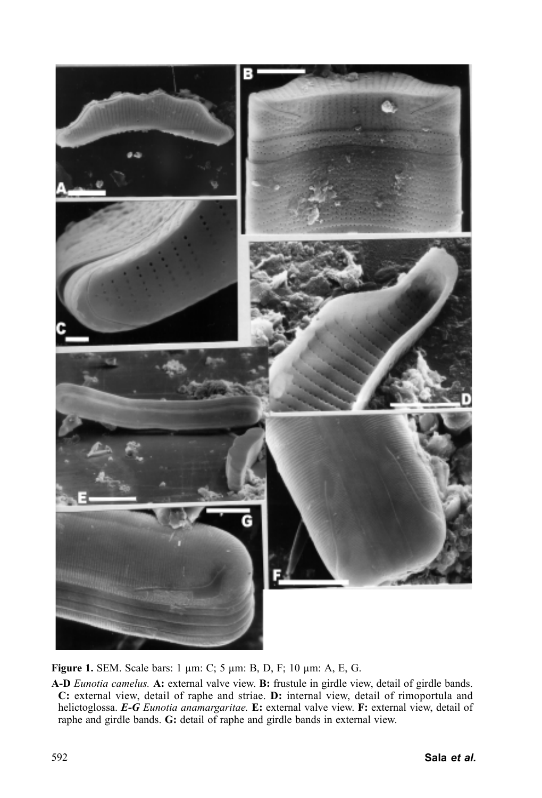

**Figure 1.** SEM. Scale bars: 1 µm: C; 5 µm: B, D, F; 10 µm: A, E, G.

**A-D** *Eunotia camelus.* **A:** external valve view. **B:** frustule in girdle view, detail of girdle bands. **C:** external view, detail of raphe and striae. **D:** internal view, detail of rimoportula and helictoglossa. *E-G Eunotia anamargaritae.* **E:** external valve view. **F:** external view, detail of raphe and girdle bands. **G:** detail of raphe and girdle bands in external view.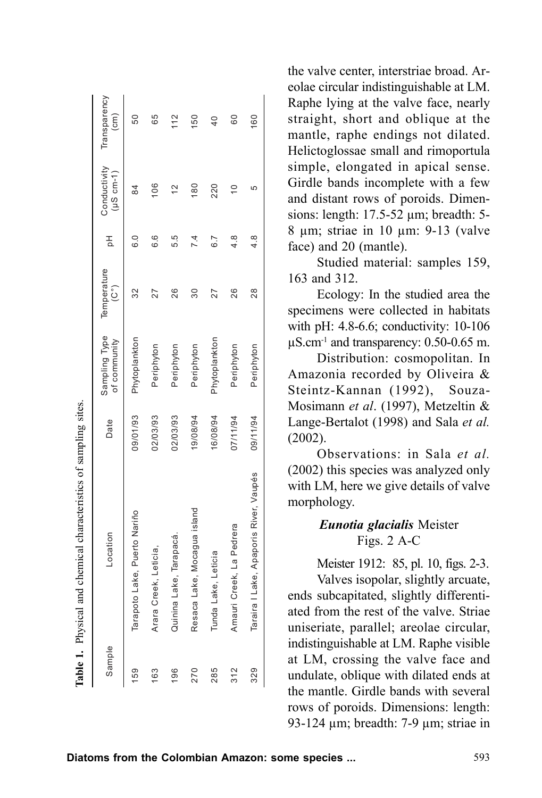| ysical and chemical characteristics of sampling sites. | Transparency<br>(cm)          | 50                           | 65                    | 112                    | 150                         | $\overline{40}$     | 60                       | 60                                     | colae circular muistinguishable at Livi.<br>Raphe lying at the valve face, nearly<br>straight, short and oblique at the<br>mantle, raphe endings not dilated.<br>Helictoglossae small and rimoportula                                                 |
|--------------------------------------------------------|-------------------------------|------------------------------|-----------------------|------------------------|-----------------------------|---------------------|--------------------------|----------------------------------------|-------------------------------------------------------------------------------------------------------------------------------------------------------------------------------------------------------------------------------------------------------|
|                                                        | Conductivity<br>$(15 cm - 1)$ | 84                           | 106                   | $\frac{2}{3}$          | 180                         | 220                 | $\overline{C}$           | မ                                      | simple, elongated in apical sense.<br>Girdle bands incomplete with a few<br>and distant rows of poroids. Dimen-<br>sions: length: 17.5-52 µm; breadth: 5-                                                                                             |
|                                                        | 공                             | 6.0                          | O<br>.<br>ت           | 5.5                    | 7.4                         | 6.7                 | ∞                        | $\infty$<br>4                          | $8 \mu m$ ; striae in 10 $\mu m$ : 9-13 (valve<br>face) and 20 (mantle).                                                                                                                                                                              |
|                                                        | Temperature<br>$(C^\circ)$    | 32                           | 27                    | 26                     | $\overline{30}$             | 27                  | 26                       | 28                                     | Studied material: samples 159,<br>163 and 312.<br>Ecology: In the studied area the<br>specimens were collected in habitats<br>with pH: 4.8-6.6; conductivity: 10-106                                                                                  |
|                                                        | Sampling Type<br>of community | Phytoplankton                | Periphyton            | Periphyton             | Periphyton                  | Phytoplankton       | Periphyton               | Periphyton                             | $\mu$ S.cm <sup>-1</sup> and transparency: 0.50-0.65 m.<br>Distribution: cosmopolitan. In<br>Amazonia recorded by Oliveira &<br>Steintz-Kannan (1992), Souza-                                                                                         |
|                                                        | Date                          | 09/01/93                     | 02/03/93              | 02/03/93               | 19/08/94                    | 16/08/94            | 07/11/94                 | 09/11/94                               | Mosimann et al. (1997), Metzeltin &<br>Lange-Bertalot (1998) and Sala et al.<br>(2002).<br>Observations: in Sala et al.                                                                                                                               |
|                                                        |                               |                              |                       |                        |                             |                     |                          |                                        | (2002) this species was analyzed only<br>with LM, here we give details of valve<br>morphology.                                                                                                                                                        |
|                                                        | -ocation                      |                              |                       |                        |                             |                     |                          |                                        | Eunotia glacialis Meister<br>Figs. 2 A-C                                                                                                                                                                                                              |
|                                                        |                               | Tarapoto Lake, Puerto Nariño | Arara Creek, Leticia, | Quinina Lake, Tarapacá | Resaca Lake, Mocagua island | Tunda Lake, Leticia | Amauri Creek, La Pedrera | Taraira I Lake, Apaporis River, Vaupés | Meister 1912: 85, pl. 10, figs. 2-3.<br>Valves isopolar, slightly arcuate,<br>ends subcapitated, slightly differenti-<br>ated from the rest of the valve. Striae<br>uniseriate, parallel; areolae circular,<br>indistinguishable at LM. Raphe visible |
| Table 1. Ph                                            | Sample                        | 159                          |                       |                        |                             |                     |                          |                                        | at LM, crossing the valve face and<br>undulate, oblique with dilated ends at<br>the mantle. Girdle bands with several<br>rows of poroids. Dimensions: length:<br>93-124 $\mu$ m; breadth: 7-9 $\mu$ m; striae in                                      |
|                                                        |                               |                              |                       |                        |                             |                     |                          |                                        | Diatoms from the Colombian Amazon: some species<br>593                                                                                                                                                                                                |

the valve center, interstriae broad. Areolae circular indistinguishable at LM. Raphe lying at the valve face, nearly straight, short and oblique at the mantle, raphe endings not dilated. Helictoglossae small and rimoportula simple, elongated in apical sense. Girdle bands incomplete with a few and distant rows of poroids. Dimensions: length: 17.5-52 µm; breadth: 5- 8 µm; striae in 10 µm: 9-13 (valve face) and 20 (mantle).

#### *Eunotia glacialis* Meister Figs. 2 A-C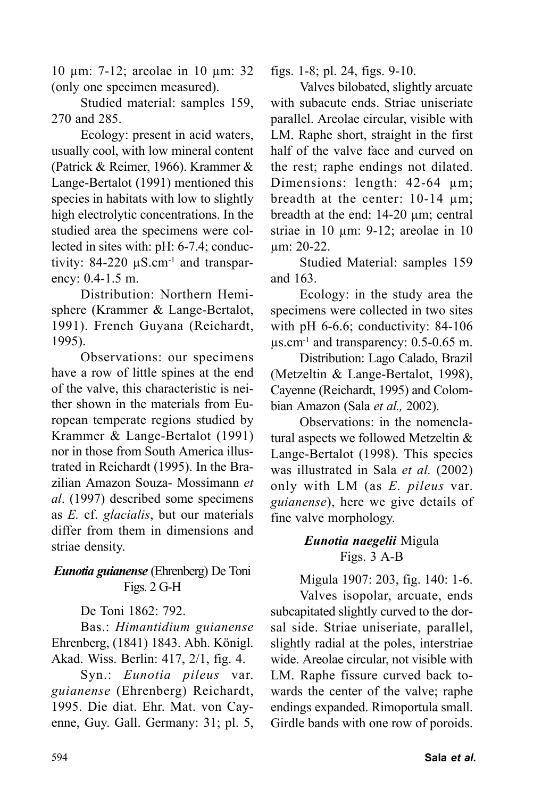10 µm: 7-12; areolae in 10 µm: 32 (only one specimen measured).

Studied material: samples 159, 270 and 285.

Ecology: present in acid waters, usually cool, with low mineral content (Patrick & Reimer, 1966). Krammer & Lange-Bertalot (1991) mentioned this species in habitats with low to slightly high electrolytic concentrations. In the studied area the specimens were collected in sites with: pH: 6-7.4; conductivity:  $84-220 \mu S.cm^{-1}$  and transparency: 0.4-1.5 m.

Distribution: Northern Hemisphere (Krammer & Lange-Bertalot, 1991). French Guyana (Reichardt, 1995).

Observations: our specimens have a row of little spines at the end of the valve, this characteristic is neither shown in the materials from European temperate regions studied by Krammer & Lange-Bertalot (1991) nor in those from South America illustrated in Reichardt (1995). In the Brazilian Amazon Souza- Mossimann *et al*. (1997) described some specimens as *E.* cf. *glacialis*, but our materials differ from them in dimensions and striae density.

### *Eunotia guianense* (Ehrenberg) De Toni Figs. 2 G-H

De Toni 1862: 792.

Bas.: *Himantidium guianense* Ehrenberg, (1841) 1843. Abh. Königl. Akad. Wiss. Berlin: 417, 2/1, fig. 4.

Syn.: *Eunotia pileus* var. *guianense* (Ehrenberg) Reichardt, 1995. Die diat. Ehr. Mat. von Cayenne, Guy. Gall. Germany: 31; pl. 5, figs. 1-8; pl. 24, figs. 9-10.

Valves bilobated, slightly arcuate with subacute ends. Striae uniseriate parallel. Areolae circular, visible with LM. Raphe short, straight in the first half of the valve face and curved on the rest; raphe endings not dilated. Dimensions: length: 42-64 µm; breadth at the center: 10-14 µm; breadth at the end: 14-20 µm; central striae in 10 µm: 9-12; areolae in 10 µm: 20-22.

Studied Material: samples 159 and 163.

Ecology: in the study area the specimens were collected in two sites with pH 6-6.6; conductivity: 84-106  $\mu$ s.cm<sup>-1</sup> and transparency: 0.5-0.65 m.

Distribution: Lago Calado, Brazil (Metzeltin & Lange-Bertalot, 1998), Cayenne (Reichardt, 1995) and Colombian Amazon (Sala *et al.,* 2002).

Observations: in the nomenclatural aspects we followed Metzeltin & Lange-Bertalot (1998). This species was illustrated in Sala *et al.* (2002) only with LM (as *E. pileus* var. *guianense*), here we give details of fine valve morphology.

## *Eunotia naegelii* Migula Figs. 3 A-B

Migula 1907: 203, fig. 140: 1-6. Valves isopolar, arcuate, ends subcapitated slightly curved to the dorsal side. Striae uniseriate, parallel, slightly radial at the poles, interstriae wide. Areolae circular, not visible with LM. Raphe fissure curved back towards the center of the valve; raphe endings expanded. Rimoportula small. Girdle bands with one row of poroids.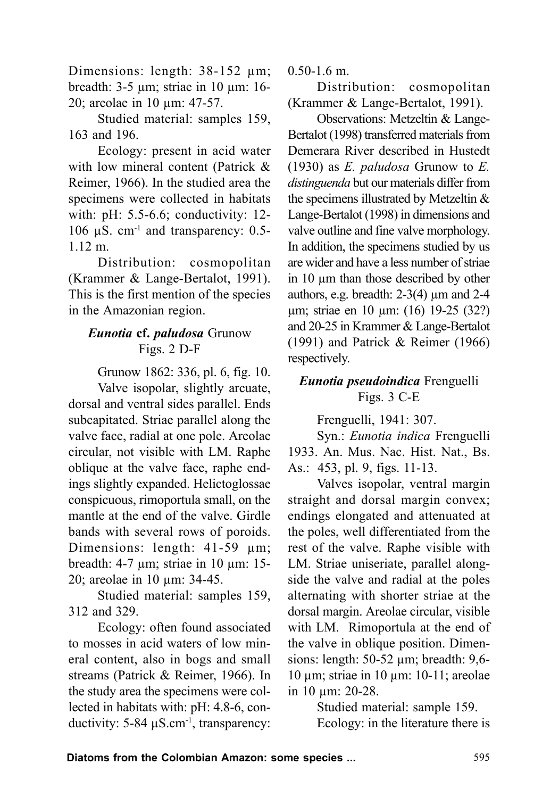Dimensions: length: 38-152 µm; breadth: 3-5 µm; striae in 10 µm: 16- 20; areolae in 10 µm: 47-57.

Studied material: samples 159, 163 and 196.

Ecology: present in acid water with low mineral content (Patrick & Reimer, 1966). In the studied area the specimens were collected in habitats with: pH: 5.5-6.6; conductivity: 12- 106  $\mu$ S. cm<sup>-1</sup> and transparency: 0.5-1.12 m.

Distribution: cosmopolitan (Krammer & Lange-Bertalot, 1991). This is the first mention of the species in the Amazonian region.

# *Eunotia* **cf.** *paludosa* Grunow Figs. 2 D-F

Grunow 1862: 336, pl. 6, fig. 10.

Valve isopolar, slightly arcuate, dorsal and ventral sides parallel. Ends subcapitated. Striae parallel along the valve face, radial at one pole. Areolae circular, not visible with LM. Raphe oblique at the valve face, raphe endings slightly expanded. Helictoglossae conspicuous, rimoportula small, on the mantle at the end of the valve. Girdle bands with several rows of poroids. Dimensions: length: 41-59  $\mu$ m; breadth: 4-7 µm; striae in 10 µm: 15- 20; areolae in 10 µm: 34-45.

Studied material: samples 159, 312 and 329.

Ecology: often found associated to mosses in acid waters of low mineral content, also in bogs and small streams (Patrick & Reimer, 1966). In the study area the specimens were collected in habitats with: pH: 4.8-6, conductivity: 5-84  $\mu$ S.cm<sup>-1</sup>, transparency:

0.50-1.6 m.

Distribution: cosmopolitan (Krammer & Lange-Bertalot, 1991).

Observations: Metzeltin & Lange-Bertalot (1998) transferred materials from Demerara River described in Hustedt (1930) as *E. paludosa* Grunow to *E. distinguenda* but our materials differ from the specimens illustrated by Metzeltin & Lange-Bertalot (1998) in dimensions and valve outline and fine valve morphology. In addition, the specimens studied by us are wider and have a less number of striae in 10 µm than those described by other authors, e.g. breadth:  $2-3(4)$  µm and  $2-4$ µm; striae en 10 µm: (16) 19-25 (32?) and 20-25 in Krammer & Lange-Bertalot (1991) and Patrick & Reimer (1966) respectively.

## *Eunotia pseudoindica* Frenguelli Figs. 3 C-E

Frenguelli, 1941: 307.

Syn.: *Eunotia indica* Frenguelli 1933. An. Mus. Nac. Hist. Nat., Bs. As.: 453, pl. 9, figs. 11-13.

Valves isopolar, ventral margin straight and dorsal margin convex; endings elongated and attenuated at the poles, well differentiated from the rest of the valve. Raphe visible with LM. Striae uniseriate, parallel alongside the valve and radial at the poles alternating with shorter striae at the dorsal margin. Areolae circular, visible with LM. Rimoportula at the end of the valve in oblique position. Dimensions: length: 50-52 µm; breadth: 9,6- 10 µm; striae in 10 µm: 10-11; areolae in 10 um: 20-28.

Studied material: sample 159. Ecology: in the literature there is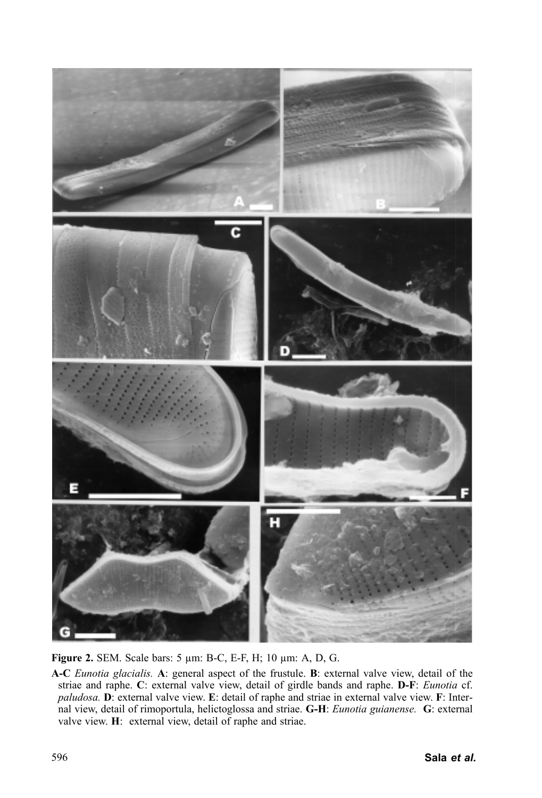

**Figure 2.** SEM. Scale bars: 5 µm: B-C, E-F, H; 10 µm: A, D, G.

**A-C** *Eunotia glacialis.* **A**: general aspect of the frustule. **B**: external valve view, detail of the striae and raphe. **C**: external valve view, detail of girdle bands and raphe. **D-F**: *Eunotia* cf. *paludosa.* **D**: external valve view. **E**: detail of raphe and striae in external valve view. **F**: Internal view, detail of rimoportula, helictoglossa and striae. **G-H**: *Eunotia guianense.* **G**: external valve view. **H**: external view, detail of raphe and striae.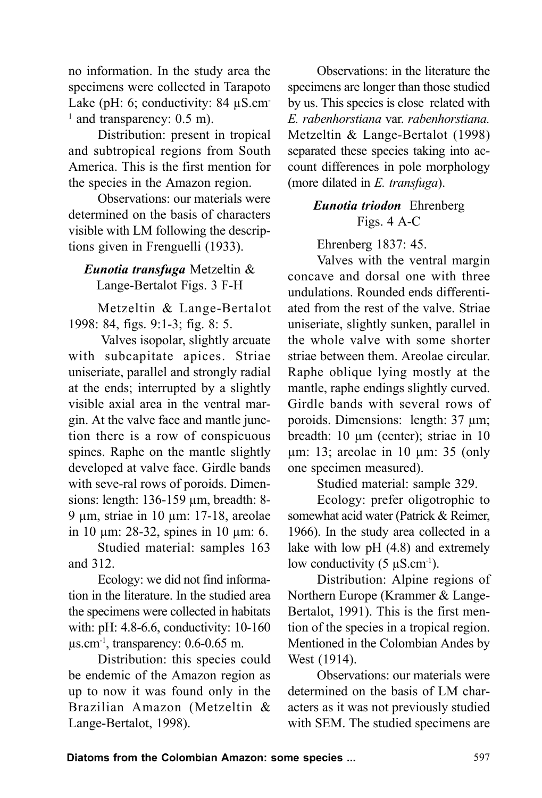no information. In the study area the specimens were collected in Tarapoto Lake (pH: 6; conductivity: 84  $\mu$ S.cm-<sup>1</sup> and transparency: 0.5 m).

Distribution: present in tropical and subtropical regions from South America. This is the first mention for the species in the Amazon region.

Observations: our materials were determined on the basis of characters visible with LM following the descriptions given in Frenguelli (1933).

# *Eunotia transfuga* Metzeltin & Lange-Bertalot Figs. 3 F-H

Metzeltin & Lange-Bertalot 1998: 84, figs. 9:1-3; fig. 8: 5.

 Valves isopolar, slightly arcuate with subcapitate apices. Striae uniseriate, parallel and strongly radial at the ends; interrupted by a slightly visible axial area in the ventral margin. At the valve face and mantle junction there is a row of conspicuous spines. Raphe on the mantle slightly developed at valve face. Girdle bands with seve-ral rows of poroids. Dimensions: length: 136-159 µm, breadth: 8- 9 µm, striae in 10 µm: 17-18, areolae in 10 µm: 28-32, spines in 10 µm: 6.

Studied material: samples 163 and 312.

Ecology: we did not find information in the literature. In the studied area the specimens were collected in habitats with: pH: 4.8-6.6, conductivity: 10-160  $\mu$ s.cm<sup>-1</sup>, transparency: 0.6-0.65 m.

Distribution: this species could be endemic of the Amazon region as up to now it was found only in the Brazilian Amazon (Metzeltin & Lange-Bertalot, 1998).

Observations: in the literature the specimens are longer than those studied by us. This species is close related with *E. rabenhorstiana* var. *rabenhorstiana.* Metzeltin & Lange-Bertalot (1998) separated these species taking into account differences in pole morphology (more dilated in *E. transfuga*).

# *Eunotia triodon*Ehrenberg Figs. 4 A-C

Ehrenberg 1837: 45.

Valves with the ventral margin concave and dorsal one with three undulations. Rounded ends differentiated from the rest of the valve. Striae uniseriate, slightly sunken, parallel in the whole valve with some shorter striae between them. Areolae circular. Raphe oblique lying mostly at the mantle, raphe endings slightly curved. Girdle bands with several rows of poroids. Dimensions: length: 37 µm; breadth: 10  $\mu$ m (center); striae in 10 µm: 13; areolae in 10 µm: 35 (only one specimen measured).

Studied material: sample 329.

Ecology: prefer oligotrophic to somewhat acid water (Patrick & Reimer, 1966). In the study area collected in a lake with low pH (4.8) and extremely low conductivity  $(5 \mu S.cm^{-1})$ .

Distribution: Alpine regions of Northern Europe (Krammer & Lange-Bertalot, 1991). This is the first mention of the species in a tropical region. Mentioned in the Colombian Andes by West (1914).

Observations: our materials were determined on the basis of LM characters as it was not previously studied with SEM. The studied specimens are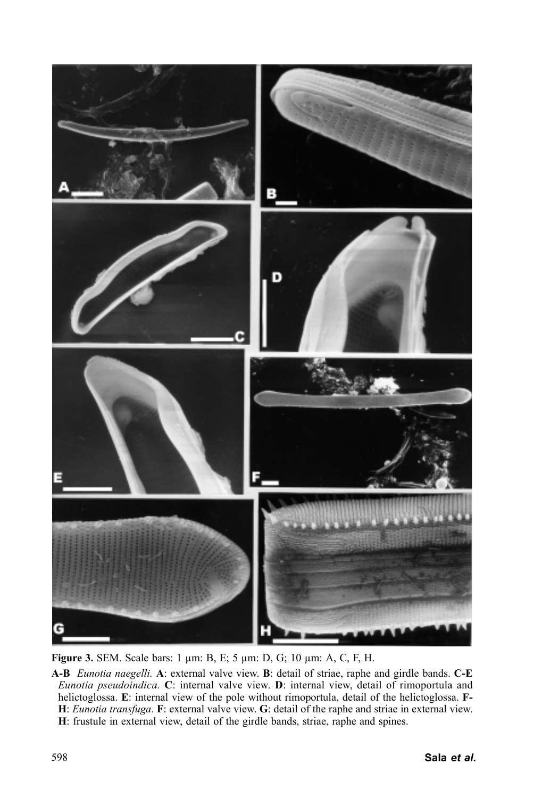

**Figure 3.** SEM. Scale bars: 1 µm: B, E; 5 µm: D, G; 10 µm: A, C, F, H.

**A-B** *Eunotia naegelli.* **A**: external valve view. **B**: detail of striae, raphe and girdle bands. **C-E** *Eunotia pseudoindica.* **C**: internal valve view. **D**: internal view, detail of rimoportula and helictoglossa. **E**: internal view of the pole without rimoportula, detail of the helictoglossa. **F-H**: *Eunotia transfuga*. **F**: external valve view. **G**: detail of the raphe and striae in external view. **H**: frustule in external view, detail of the girdle bands, striae, raphe and spines.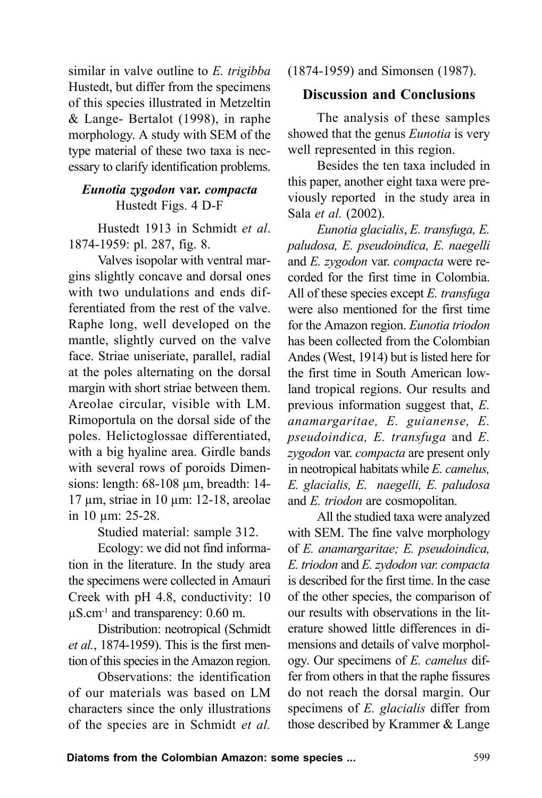similar in valve outline to *E. trigibba* Hustedt, but differ from the specimens of this species illustrated in Metzeltin & Lange- Bertalot (1998), in raphe morphology. A study with SEM of the type material of these two taxa is necessary to clarify identification problems.

### *Eunotia zygodon* **var.** *compacta* Hustedt Figs. 4 D-F

Hustedt 1913 in Schmidt *et al*. 1874-1959: pl. 287, fig. 8.

Valves isopolar with ventral margins slightly concave and dorsal ones with two undulations and ends differentiated from the rest of the valve. Raphe long, well developed on the mantle, slightly curved on the valve face. Striae uniseriate, parallel, radial at the poles alternating on the dorsal margin with short striae between them. Areolae circular, visible with LM. Rimoportula on the dorsal side of the poles. Helictoglossae differentiated, with a big hyaline area. Girdle bands with several rows of poroids Dimensions: length: 68-108 µm, breadth: 14-17 µm, striae in 10 µm: 12-18, areolae in 10 µm: 25-28.

Studied material: sample 312.

Ecology: we did not find information in the literature. In the study area the specimens were collected in Amauri Creek with pH 4.8, conductivity: 10  $\mu$ S.cm<sup>-1</sup> and transparency: 0.60 m.

Distribution: neotropical (Schmidt *et al.*, 1874-1959). This is the first mention of this species in the Amazon region.

Observations: the identification of our materials was based on LM characters since the only illustrations of the species are in Schmidt *et al.*

(1874-1959) and Simonsen (1987).

# **Discussion and Conclusions**

The analysis of these samples showed that the genus *Eunotia* is very well represented in this region.

Besides the ten taxa included in this paper, another eight taxa were previously reported in the study area in Sala *et al.* (2002).

*Eunotia glacialis*, *E. transfuga, E. paludosa, E. pseudoindica, E. naegelli* and *E. zygodon* var. *compacta* were recorded for the first time in Colombia. All of these species except *E. transfuga* were also mentioned for the first time for the Amazon region. *Eunotia triodon* has been collected from the Colombian Andes (West, 1914) but is listed here for the first time in South American lowland tropical regions. Our results and previous information suggest that, *E. anamargaritae, E. guianense, E. pseudoindica, E. transfuga* and *E. zygodon* var. *compacta* are present only in neotropical habitats while *E. camelus, E. glacialis, E. naegelli, E. paludosa* and *E. triodon* are cosmopolitan.

All the studied taxa were analyzed with SEM. The fine valve morphology of *E. anamargaritae; E. pseudoindica, E. triodon* and *E. zydodon var. compacta* is described for the first time. In the case of the other species, the comparison of our results with observations in the literature showed little differences in dimensions and details of valve morphology. Our specimens of *E. camelus* differ from others in that the raphe fissures do not reach the dorsal margin. Our specimens of *E. glacialis* differ from those described by Krammer & Lange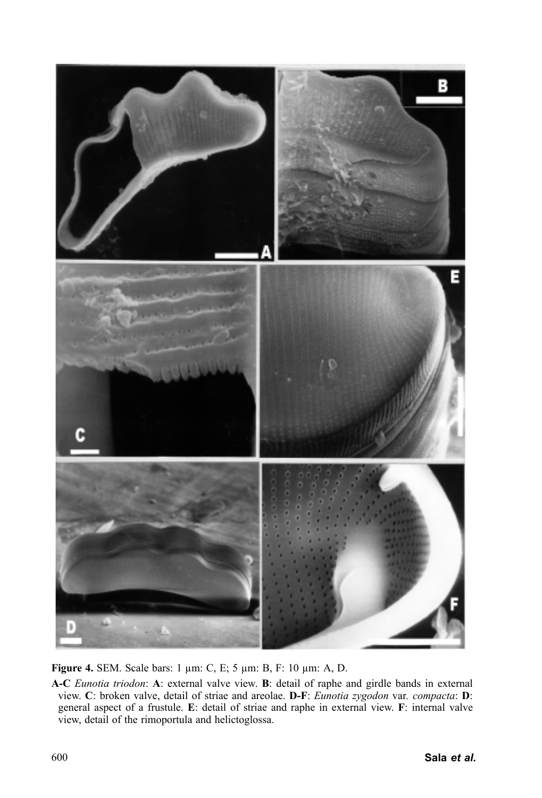

**Figure 4.** SEM. Scale bars: 1 µm: C, E; 5 µm: B, F: 10 µm: A, D.

**A-C** *Eunotia triodon*: **A**: external valve view. **B**: detail of raphe and girdle bands in external view. **C**: broken valve, detail of striae and areolae. **D-F**: *Eunotia zygodon* var*. compacta*: **D**: general aspect of a frustule. **E**: detail of striae and raphe in external view. **F**: internal valve view, detail of the rimoportula and helictoglossa.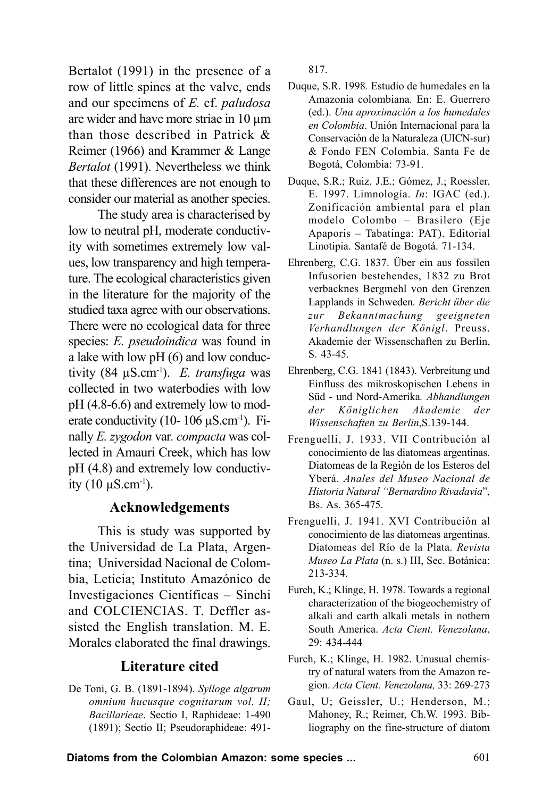Bertalot (1991) in the presence of a row of little spines at the valve, ends and our specimens of *E.* cf. *paludosa* are wider and have more striae in 10 um than those described in Patrick & Reimer (1966) and Krammer & Lange *Bertalot* (1991). Nevertheless we think that these differences are not enough to consider our material as another species.

The study area is characterised by low to neutral pH, moderate conductivity with sometimes extremely low values, low transparency and high temperature. The ecological characteristics given in the literature for the majority of the studied taxa agree with our observations. There were no ecological data for three species: *E. pseudoindica* was found in a lake with low pH (6) and low conductivity (84 µS.cm-1). *E. transfuga* was collected in two waterbodies with low pH (4.8-6.6) and extremely low to moderate conductivity (10-  $106 \mu S.cm^{-1}$ ). Finally *E. zygodon* var*. compacta* was collected in Amauri Creek, which has low pH (4.8) and extremely low conductivity  $(10 \mu S.cm^{-1})$ .

#### **Acknowledgements**

This is study was supported by the Universidad de La Plata, Argentina; Universidad Nacional de Colombia, Leticia; Instituto Amazónico de Investigaciones Científicas – Sinchi and COLCIENCIAS. T. Deffler assisted the English translation. M. E. Morales elaborated the final drawings.

### **Literature cited**

De Toni, G. B. (1891-1894). *Sylloge algarum omnium hucusque cognitarum vol. II; Bacillarieae*. Sectio I, Raphideae: 1-490 (1891); Sectio II; Pseudoraphideae: 491817.

- Duque, S.R. 1998*.* Estudio de humedales en la Amazonia colombiana*.* En: E. Guerrero (ed.). *Una aproximación a los humedales en Colombia*. Unión Internacional para la Conservación de la Naturaleza (UICN-sur) & Fondo FEN Colombia. Santa Fe de Bogotá, Colombia: 73-91.
- Duque, S.R.; Ruiz, J.E.; Gómez, J.; Roessler, E. 1997. Limnología. *In*: IGAC (ed.). Zonificación ambiental para el plan modelo Colombo – Brasilero (Eje Apaporis – Tabatinga: PAT). Editorial Linotipia. Santafé de Bogotá. 71-134.
- Ehrenberg, C.G. 1837. Über ein aus fossilen Infusorien bestehendes, 1832 zu Brot verbacknes Bergmehl von den Grenzen Lapplands in Schweden*. Bericht über die zur Bekanntmachung geeigneten Verhandlungen der Königl*. Preuss. Akademie der Wissenschaften zu Berlin, S. 43-45.
- Ehrenberg, C.G. 1841 (1843). Verbreitung und Einfluss des mikroskopischen Lebens in Süd - und Nord-Amerika*. Abhandlungen der Königlichen Akademie der Wissenschaften zu Berlin*,S.139-144.
- Frenguelli, J. 1933. VII Contribución al conocimiento de las diatomeas argentinas. Diatomeas de la Región de los Esteros del Yberá. *Anales del Museo Nacional de Historia Natural "Bernardino Rivadavia*", Bs. As. 365-475.
- Frenguelli, J. 1941. XVI Contribución al conocimiento de las diatomeas argentinas. Diatomeas del Río de la Plata. *Revista Museo La Plata* (n. s.) III, Sec. Botánica: 213-334.
- Furch, K.; Klinge, H. 1978. Towards a regional characterization of the biogeochemistry of alkali and carth alkali metals in nothern South America. *Acta Cient. Venezolana*, 29: 434-444
- Furch, K.; Klinge, H. 1982. Unusual chemistry of natural waters from the Amazon region. *Acta Cient. Venezolana,* 33: 269-273
- Gaul, U; Geissler, U.; Henderson, M.; Mahoney, R.; Reimer, Ch.W. 1993. Bibliography on the fine-structure of diatom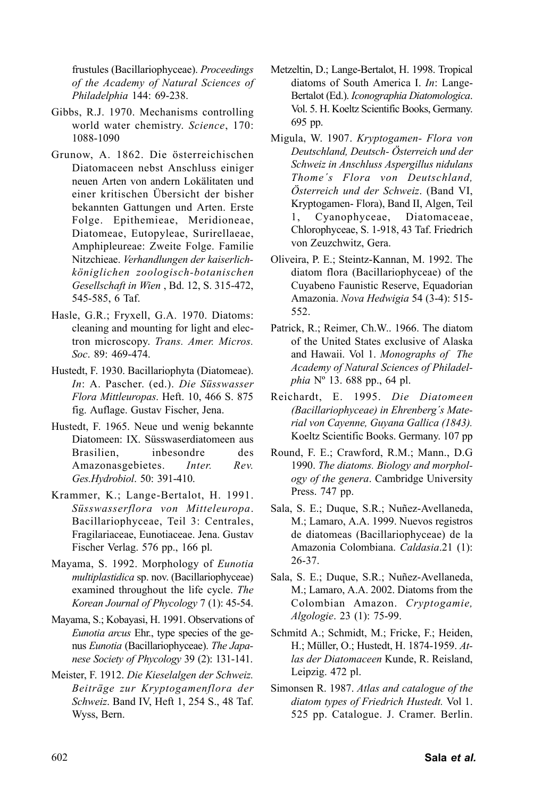frustules (Bacillariophyceae). *Proceedings of the Academy of Natural Sciences of Philadelphia* 144: 69-238.

- Gibbs, R.J. 1970. Mechanisms controlling world water chemistry. *Science*, 170: 1088-1090
- Grunow, A. 1862. Die österreichischen Diatomaceen nebst Anschluss einiger neuen Arten von andern Lokälitaten und einer kritischen Übersicht der bisher bekannten Gattungen und Arten. Erste Folge. Epithemieae, Meridioneae, Diatomeae, Eutopyleae, Surirellaeae, Amphipleureae: Zweite Folge. Familie Nitzchieae. *Verhandlungen der kaiserlichköniglichen zoologisch-botanischen Gesellschaft in Wien* , Bd. 12, S. 315-472, 545-585, 6 Taf.
- Hasle, G.R.; Fryxell, G.A. 1970. Diatoms: cleaning and mounting for light and electron microscopy. *Trans. Amer. Micros. Soc*. 89: 469-474.
- Hustedt, F. 1930. Bacillariophyta (Diatomeae). *In*: A. Pascher. (ed.). *Die Süsswasser Flora Mittleuropas*. Heft. 10, 466 S. 875 fig. Auflage. Gustav Fischer, Jena.
- Hustedt, F. 1965. Neue und wenig bekannte Diatomeen: IX. Süsswaserdiatomeen aus Brasilien, inbesondre des Amazonasgebietes. *Inter. Rev. Ges.Hydrobiol*. 50: 391-410.
- Krammer, K.; Lange-Bertalot, H. 1991. *Süsswasserflora von Mitteleuropa*. Bacillariophyceae, Teil 3: Centrales, Fragilariaceae, Eunotiaceae. Jena. Gustav Fischer Verlag. 576 pp., 166 pl.
- Mayama, S. 1992. Morphology of *Eunotia multiplastidica* sp. nov. (Bacillariophyceae) examined throughout the life cycle. *The Korean Journal of Phycology* 7 (1): 45-54.
- Mayama, S.; Kobayasi, H. 1991. Observations of *Eunotia arcus* Ehr., type species of the genus *Eunotia* (Bacillariophyceae). *The Japanese Society of Phycology* 39 (2): 131-141.
- Meister, F. 1912. *Die Kieselalgen der Schweiz. Beiträge zur Kryptogamenflora der Schweiz*. Band IV, Heft 1, 254 S., 48 Taf. Wyss, Bern.
- Metzeltin, D.; Lange-Bertalot, H. 1998. Tropical diatoms of South America I. *In*: Lange-Bertalot (Ed.). *Iconographia Diatomologica*. Vol. 5. H. Koeltz Scientific Books, Germany. 695 pp.
- Migula, W. 1907. *Kryptogamen- Flora von Deutschland, Deutsch- Österreich und der Schweiz in Anschluss Aspergillus nidulans Thome´s Flora von Deutschland, Österreich und der Schweiz*. (Band VI, Kryptogamen- Flora), Band II, Algen, Teil 1, Cyanophyceae, Diatomaceae, Chlorophyceae, S. 1-918, 43 Taf. Friedrich von Zeuzchwitz, Gera.
- Oliveira, P. E.; Steintz-Kannan, M. 1992. The diatom flora (Bacillariophyceae) of the Cuyabeno Faunistic Reserve, Equadorian Amazonia. *Nova Hedwigia* 54 (3-4): 515- 552.
- Patrick, R.; Reimer, Ch.W.. 1966. The diatom of the United States exclusive of Alaska and Hawaii. Vol 1. *Monographs of The Academy of Natural Sciences of Philadelphia* Nº 13. 688 pp., 64 pl.
- Reichardt, E. 1995. *Die Diatomeen (Bacillariophyceae) in Ehrenberg´s Material von Cayenne, Guyana Gallica (1843).* Koeltz Scientific Books. Germany. 107 pp
- Round, F. E.; Crawford, R.M.; Mann., D.G 1990. *The diatoms. Biology and morphology of the genera*. Cambridge University Press. 747 pp.
- Sala, S. E.; Duque, S.R.; Nuñez-Avellaneda, M.; Lamaro, A.A. 1999. Nuevos registros de diatomeas (Bacillariophyceae) de la Amazonia Colombiana. *Caldasia*.21 (1): 26-37.
- Sala, S. E.; Duque, S.R.; Nuñez-Avellaneda, M.; Lamaro, A.A. 2002. Diatoms from the Colombian Amazon. *Cryptogamie, Algologie*. 23 (1): 75-99.
- Schmitd A.; Schmidt, M.; Fricke, F.; Heiden, H.; Müller, O.; Hustedt, H. 1874-1959. *Atlas der Diatomaceen* Kunde, R. Reisland, Leipzig. 472 pl.
- Simonsen R. 1987. *Atlas and catalogue of the diatom types of Friedrich Hustedt.* Vol 1. 525 pp. Catalogue. J. Cramer. Berlin.